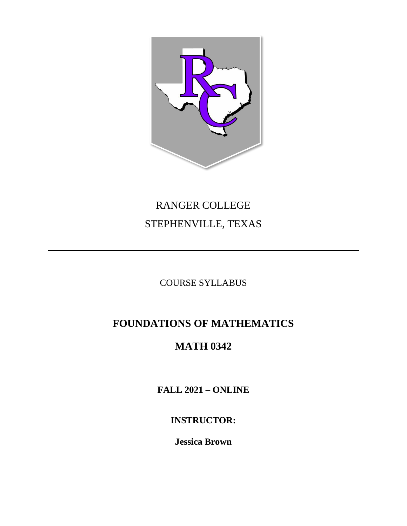

# RANGER COLLEGE STEPHENVILLE, TEXAS

COURSE SYLLABUS

# **FOUNDATIONS OF MATHEMATICS**

# **MATH 0342**

**FALL 2021 – ONLINE** 

**INSTRUCTOR:**

**Jessica Brown**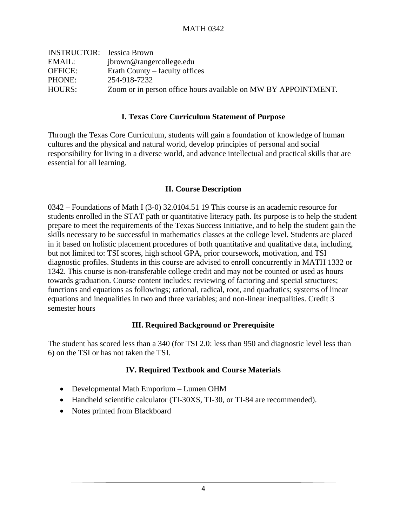| <b>INSTRUCTOR:</b> Jessica Brown |                                                                |
|----------------------------------|----------------------------------------------------------------|
| EMAIL:                           | jbrown@rangercollege.edu                                       |
| <b>OFFICE:</b>                   | Erath County – faculty offices                                 |
| PHONE:                           | 254-918-7232                                                   |
| HOURS:                           | Zoom or in person office hours available on MW BY APPOINTMENT. |

#### **I. Texas Core Curriculum Statement of Purpose**

Through the Texas Core Curriculum, students will gain a foundation of knowledge of human cultures and the physical and natural world, develop principles of personal and social responsibility for living in a diverse world, and advance intellectual and practical skills that are essential for all learning.

#### **II. Course Description**

0342 – Foundations of Math I (3-0) 32.0104.51 19 This course is an academic resource for students enrolled in the STAT path or quantitative literacy path. Its purpose is to help the student prepare to meet the requirements of the Texas Success Initiative, and to help the student gain the skills necessary to be successful in mathematics classes at the college level. Students are placed in it based on holistic placement procedures of both quantitative and qualitative data, including, but not limited to: TSI scores, high school GPA, prior coursework, motivation, and TSI diagnostic profiles. Students in this course are advised to enroll concurrently in MATH 1332 or 1342. This course is non-transferable college credit and may not be counted or used as hours towards graduation. Course content includes: reviewing of factoring and special structures; functions and equations as followings; rational, radical, root, and quadratics; systems of linear equations and inequalities in two and three variables; and non-linear inequalities. Credit 3 semester hours

### **III. Required Background or Prerequisite**

The student has scored less than a 340 (for TSI 2.0: less than 950 and diagnostic level less than 6) on the TSI or has not taken the TSI.

### **IV. Required Textbook and Course Materials**

- Developmental Math Emporium Lumen OHM
- Handheld scientific calculator (TI-30XS, TI-30, or TI-84 are recommended).
- Notes printed from Blackboard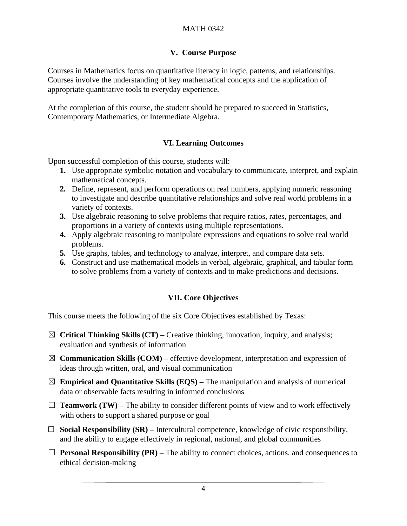# **V. Course Purpose**

Courses in Mathematics focus on quantitative literacy in logic, patterns, and relationships. Courses involve the understanding of key mathematical concepts and the application of appropriate quantitative tools to everyday experience.

At the completion of this course, the student should be prepared to succeed in Statistics, Contemporary Mathematics, or Intermediate Algebra.

# **VI. Learning Outcomes**

Upon successful completion of this course, students will:

- **1.** Use appropriate symbolic notation and vocabulary to communicate, interpret, and explain mathematical concepts.
- **2.** Define, represent, and perform operations on real numbers, applying numeric reasoning to investigate and describe quantitative relationships and solve real world problems in a variety of contexts.
- **3.** Use algebraic reasoning to solve problems that require ratios, rates, percentages, and proportions in a variety of contexts using multiple representations.
- **4.** Apply algebraic reasoning to manipulate expressions and equations to solve real world problems.
- **5.** Use graphs, tables, and technology to analyze, interpret, and compare data sets.
- **6.** Construct and use mathematical models in verbal, algebraic, graphical, and tabular form to solve problems from a variety of contexts and to make predictions and decisions.

# **VII. Core Objectives**

This course meets the following of the six Core Objectives established by Texas:

- ☒ **Critical Thinking Skills (CT) –** Creative thinking, innovation, inquiry, and analysis; evaluation and synthesis of information
- $\boxtimes$  **Communication Skills (COM)** effective development, interpretation and expression of ideas through written, oral, and visual communication
- $\boxtimes$  **Empirical and Quantitative Skills (EQS)** The manipulation and analysis of numerical data or observable facts resulting in informed conclusions
- $\Box$  **Teamwork (TW)** The ability to consider different points of view and to work effectively with others to support a shared purpose or goal
- ☐ **Social Responsibility (SR) –** Intercultural competence, knowledge of civic responsibility, and the ability to engage effectively in regional, national, and global communities
- ☐ **Personal Responsibility (PR) –** The ability to connect choices, actions, and consequences to ethical decision-making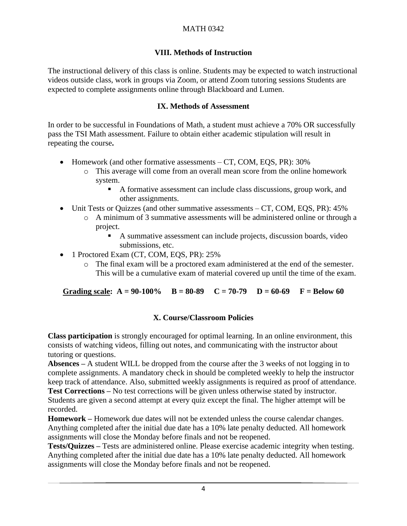# MATH 0342

# **VIII. Methods of Instruction**

The instructional delivery of this class is online. Students may be expected to watch instructional videos outside class, work in groups via Zoom, or attend Zoom tutoring sessions Students are expected to complete assignments online through Blackboard and Lumen.

### **IX. Methods of Assessment**

In order to be successful in Foundations of Math, a student must achieve a 70% OR successfully pass the TSI Math assessment. Failure to obtain either academic stipulation will result in repeating the course**.**

- Homework (and other formative assessments CT, COM, EOS, PR): 30%
	- o This average will come from an overall mean score from the online homework system.
		- A formative assessment can include class discussions, group work, and other assignments.
- Unit Tests or Quizzes (and other summative assessments CT, COM, EQS, PR): 45%
	- o A minimum of 3 summative assessments will be administered online or through a project.
		- A summative assessment can include projects, discussion boards, video submissions, etc.
- 1 Proctored Exam (CT, COM, EQS, PR): 25%
	- o The final exam will be a proctored exam administered at the end of the semester. This will be a cumulative exam of material covered up until the time of the exam.

Grading scale:  $A = 90-100\%$   $B = 80-89$   $C = 70-79$   $D = 60-69$   $F = Below 60$ 

### **X. Course/Classroom Policies**

**Class participation** is strongly encouraged for optimal learning. In an online environment, this consists of watching videos, filling out notes, and communicating with the instructor about tutoring or questions.

**Absences –** A student WILL be dropped from the course after the 3 weeks of not logging in to complete assignments. A mandatory check in should be completed weekly to help the instructor keep track of attendance. Also, submitted weekly assignments is required as proof of attendance. **Test Corrections –** No test corrections will be given unless otherwise stated by instructor.

Students are given a second attempt at every quiz except the final. The higher attempt will be recorded.

**Homework –** Homework due dates will not be extended unless the course calendar changes. Anything completed after the initial due date has a 10% late penalty deducted. All homework assignments will close the Monday before finals and not be reopened.

**Tests/Quizzes –** Tests are administered online. Please exercise academic integrity when testing. Anything completed after the initial due date has a 10% late penalty deducted. All homework assignments will close the Monday before finals and not be reopened.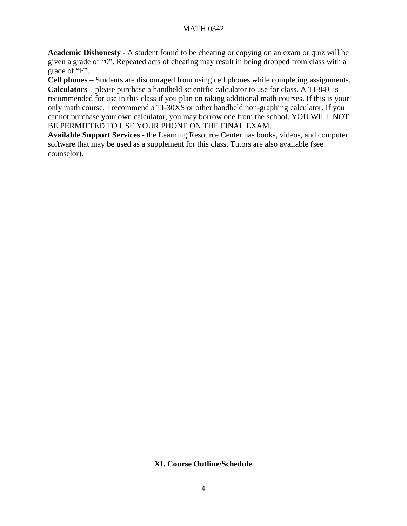# MATH 0342

**Academic Dishonesty** - A student found to be cheating or copying on an exam or quiz will be given a grade of "0". Repeated acts of cheating may result in being dropped from class with a grade of "F".

**Cell phones** – Students are discouraged from using cell phones while completing assignments. **Calculators –** please purchase a handheld scientific calculator to use for class. A TI-84+ is recommended for use in this class if you plan on taking additional math courses. If this is your only math course, I recommend a TI-30XS or other handheld non-graphing calculator. If you cannot purchase your own calculator, you may borrow one from the school. YOU WILL NOT BE PERMITTED TO USE YOUR PHONE ON THE FINAL EXAM.

**Available Support Services** - the Learning Resource Center has books, videos, and computer software that may be used as a supplement for this class. Tutors are also available (see counselor).

# **XI. Course Outline/Schedule**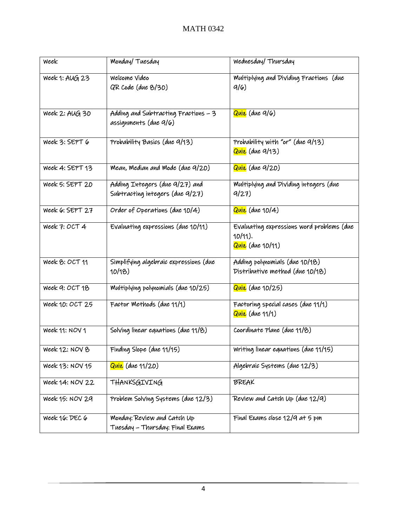| Week            | Monday/Tuesday                                                    | Wednesday/Thursday                                                                       |
|-----------------|-------------------------------------------------------------------|------------------------------------------------------------------------------------------|
| Week 1: AUG 23  | Welcome Video<br>QR Code (due 8/30)                               | Multiplying and Dividing Fractions (due<br>9/6                                           |
| Week 2: AUG 30  | Adding and Subtracting Fractions - 3<br>assignments (due 9/6)     | Quiz (due 9/6)                                                                           |
| Week 3: SEPT 6  | Probability Basics (due 9/13)                                     | Probability with "or" (due 9/13)<br>Quiz (due 9/13)                                      |
| Week 4: SEPT 13 | Mean, Median and Mode (due 9/20)                                  | Quiz (due 9/20)                                                                          |
| Week 5: SEPT 20 | Adding Integers (due 9/27) and<br>Subtracting integers (due 9/27) | Multiplying and Dividing integers (due<br>9/27                                           |
| Week 6: SEPT 27 | Order of Operations (due 10/4)                                    | Quiz (due 10/4)                                                                          |
| Week 7: OCT 4   | Evaluating expressions (due 10/11)                                | Evaluating expressions word problems (due<br>$10/11$ ).<br><mark>Quiz</mark> (due 10/11) |
| Week 8: OCT 11  | Simplifying algebraic expressions (due<br>10/18                   | Adding polynomials (due 10/18)<br>Distributive method (due 10/18)                        |
| Week 9: OCT 18  | Multiplying polynomials (due 10/25)                               | <mark>Quiz</mark> (due 10/25)                                                            |
| Week 10: OCT 25 | Factor Methods (due 11/1)                                         | Factoring special cases (due 11/1)<br>Quiz (due 11/1)                                    |
| Week 11: NOV 1  | Solving linear equations (due 11/8)                               | Coordinate Plane (due 11/8)                                                              |
| Week 12: NOV 8  | Finding Slope (due 11/15)                                         | Writing linear equations (due 11/15)                                                     |
| Week 13: NOV 15 | <mark>Quiz</mark> (due 11/20)                                     | Algebraic Systems (due 12/3)                                                             |
| Week 14: NOV 22 | THANKSGIVING                                                      | <b>BREAK</b>                                                                             |
| Week 15: NOV 29 | Problem Solving Systems (due 12/3)                                | Review and Catch Up (due 12/9)                                                           |
| Week 16: DEC 6  | Monday: Review and Catch Up<br>Tuesday - Thursday: Final Exams    | Final Exams close 12/9 at 5 pm                                                           |